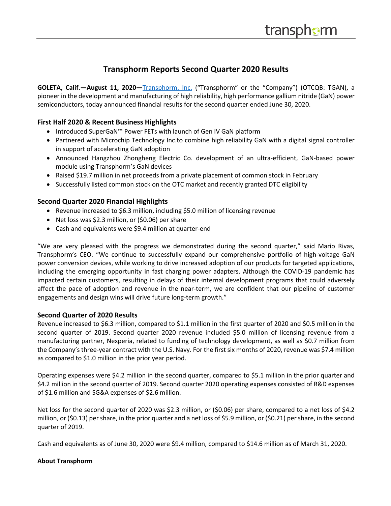# **Transphorm Reports Second Quarter 2020 Results**

**GOLETA, Calif.—August 11, 2020—**Transphorm, Inc. ("Transphorm" or the "Company") (OTCQB: TGAN), a pioneer in the development and manufacturing of high reliability, high performance gallium nitride (GaN) power semiconductors, today announced financial results for the second quarter ended June 30, 2020.

## **First Half 2020 & Recent Business Highlights**

- Introduced SuperGaN™ Power FETs with launch of Gen IV GaN platform
- Partnered with Microchip Technology Inc.to combine high reliability GaN with a digital signal controller in support of accelerating GaN adoption
- Announced Hangzhou Zhongheng Electric Co. development of an ultra-efficient, GaN-based power module using Transphorm's GaN devices
- Raised \$19.7 million in net proceeds from a private placement of common stock in February
- Successfully listed common stock on the OTC market and recently granted DTC eligibility

## **Second Quarter 2020 Financial Highlights**

- Revenue increased to \$6.3 million, including \$5.0 million of licensing revenue
- Net loss was \$2.3 million, or (\$0.06) per share
- Cash and equivalents were \$9.4 million at quarter-end

"We are very pleased with the progress we demonstrated during the second quarter," said Mario Rivas, Transphorm's CEO. "We continue to successfully expand our comprehensive portfolio of high-voltage GaN power conversion devices, while working to drive increased adoption of our products for targeted applications, including the emerging opportunity in fast charging power adapters. Although the COVID-19 pandemic has impacted certain customers, resulting in delays of their internal development programs that could adversely affect the pace of adoption and revenue in the near-term, we are confident that our pipeline of customer engagements and design wins will drive future long-term growth."

## **Second Quarter of 2020 Results**

Revenue increased to \$6.3 million, compared to \$1.1 million in the first quarter of 2020 and \$0.5 million in the second quarter of 2019. Second quarter 2020 revenue included \$5.0 million of licensing revenue from a manufacturing partner, Nexperia, related to funding of technology development, as well as \$0.7 million from the Company'sthree-year contract with the U.S. Navy. For the first six months of 2020, revenue was \$7.4 million as compared to \$1.0 million in the prior year period.

Operating expenses were \$4.2 million in the second quarter, compared to \$5.1 million in the prior quarter and \$4.2 million in the second quarter of 2019. Second quarter 2020 operating expenses consisted of R&D expenses of \$1.6 million and SG&A expenses of \$2.6 million.

Net loss for the second quarter of 2020 was \$2.3 million, or (\$0.06) per share, compared to a net loss of \$4.2 million, or (\$0.13) per share, in the prior quarter and a net loss of \$5.9 million, or (\$0.21) per share, in the second quarter of 2019.

Cash and equivalents as of June 30, 2020 were \$9.4 million, compared to \$14.6 million as of March 31, 2020.

## **About Transphorm**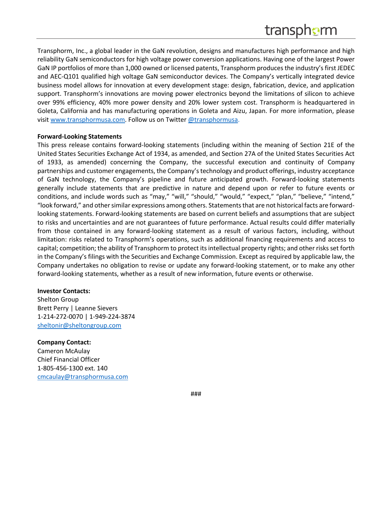Transphorm, Inc., a global leader in the GaN revolution, designs and manufactures high performance and high reliability GaN semiconductors for high voltage power conversion applications. Having one of the largest Power GaN IP portfolios of more than 1,000 owned or licensed patents, Transphorm produces the industry's first JEDEC and AEC-Q101 qualified high voltage GaN semiconductor devices. The Company's vertically integrated device business model allows for innovation at every development stage: design, fabrication, device, and application support. Transphorm's innovations are moving power electronics beyond the limitations of silicon to achieve over 99% efficiency, 40% more power density and 20% lower system cost. Transphorm is headquartered in Goleta, California and has manufacturing operations in Goleta and Aizu, Japan. For more information, please visit www.transphormusa.com. Follow us on Twitter @transphormusa.

#### **Forward-Looking Statements**

This press release contains forward-looking statements (including within the meaning of Section 21E of the United States Securities Exchange Act of 1934, as amended, and Section 27A of the United States Securities Act of 1933, as amended) concerning the Company, the successful execution and continuity of Company partnerships and customer engagements, the Company's technology and product offerings, industry acceptance of GaN technology, the Company's pipeline and future anticipated growth. Forward-looking statements generally include statements that are predictive in nature and depend upon or refer to future events or conditions, and include words such as "may," "will," "should," "would," "expect," "plan," "believe," "intend," "look forward," and other similar expressions among others. Statements that are not historical facts are forwardlooking statements. Forward-looking statements are based on current beliefs and assumptions that are subject to risks and uncertainties and are not guarantees of future performance. Actual results could differ materially from those contained in any forward-looking statement as a result of various factors, including, without limitation: risks related to Transphorm's operations, such as additional financing requirements and access to capital; competition; the ability of Transphorm to protect its intellectual property rights; and other risks set forth in the Company's filings with the Securities and Exchange Commission. Except as required by applicable law, the Company undertakes no obligation to revise or update any forward-looking statement, or to make any other forward-looking statements, whether as a result of new information, future events or otherwise.

## **Investor Contacts:**

Shelton Group Brett Perry | Leanne Sievers 1-214-272-0070 | 1-949-224-3874 sheltonir@sheltongroup.com

## **Company Contact:**

Cameron McAulay Chief Financial Officer 1-805-456-1300 ext. 140 cmcaulay@transphormusa.com

###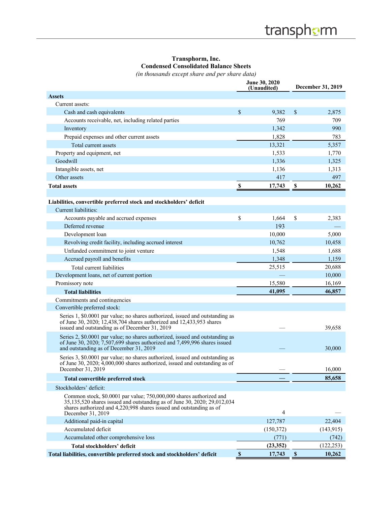## **Transphorm, Inc. Condensed Consolidated Balance Sheets**

*(in thousands except share and per share data)*

|                                                                                                                                                                                                                                             |                           | June 30, 2020<br>(Unaudited) | December 31, 2019 |            |
|---------------------------------------------------------------------------------------------------------------------------------------------------------------------------------------------------------------------------------------------|---------------------------|------------------------------|-------------------|------------|
| <b>Assets</b>                                                                                                                                                                                                                               |                           |                              |                   |            |
| Current assets:                                                                                                                                                                                                                             |                           |                              |                   |            |
| Cash and cash equivalents                                                                                                                                                                                                                   | \$                        | 9,382                        | \$                | 2,875      |
| Accounts receivable, net, including related parties                                                                                                                                                                                         |                           | 769                          |                   | 709        |
| Inventory                                                                                                                                                                                                                                   |                           | 1,342                        |                   | 990        |
| Prepaid expenses and other current assets                                                                                                                                                                                                   |                           | 1,828                        |                   | 783        |
| Total current assets                                                                                                                                                                                                                        |                           | 13,321                       |                   | 5,357      |
| Property and equipment, net                                                                                                                                                                                                                 |                           | 1,533                        |                   | 1,770      |
| Goodwill                                                                                                                                                                                                                                    |                           | 1,336                        |                   | 1,325      |
| Intangible assets, net                                                                                                                                                                                                                      |                           | 1,136                        |                   | 1,313      |
| Other assets                                                                                                                                                                                                                                |                           | 417                          |                   | 497        |
| <b>Total assets</b>                                                                                                                                                                                                                         | \$                        | 17,743                       | S                 | 10,262     |
|                                                                                                                                                                                                                                             |                           |                              |                   |            |
| Liabilities, convertible preferred stock and stockholders' deficit                                                                                                                                                                          |                           |                              |                   |            |
| Current liabilities:                                                                                                                                                                                                                        |                           |                              |                   |            |
| Accounts payable and accrued expenses                                                                                                                                                                                                       | \$                        | 1,664                        | \$                | 2,383      |
| Deferred revenue                                                                                                                                                                                                                            |                           | 193                          |                   |            |
| Development loan                                                                                                                                                                                                                            |                           | 10,000                       |                   | 5,000      |
| Revolving credit facility, including accrued interest                                                                                                                                                                                       |                           | 10,762                       |                   | 10,458     |
| Unfunded commitment to joint venture                                                                                                                                                                                                        |                           | 1,548                        |                   | 1,688      |
| Accrued payroll and benefits                                                                                                                                                                                                                |                           | 1,348                        |                   | 1,159      |
| Total current liabilities                                                                                                                                                                                                                   |                           | 25,515                       |                   | 20,688     |
| Development loans, net of current portion                                                                                                                                                                                                   |                           |                              |                   | 10,000     |
| Promissory note                                                                                                                                                                                                                             |                           | 15,580                       |                   | 16,169     |
| <b>Total liabilities</b>                                                                                                                                                                                                                    |                           | 41,095                       |                   | 46,857     |
| Commitments and contingencies                                                                                                                                                                                                               |                           |                              |                   |            |
| Convertible preferred stock:                                                                                                                                                                                                                |                           |                              |                   |            |
| Series 1, \$0.0001 par value; no shares authorized, issued and outstanding as<br>of June 30, 2020; 12,438,704 shares authorized and 12,433,953 shares<br>issued and outstanding as of December 31, 2019                                     |                           |                              |                   | 39,658     |
| Series 2, \$0.0001 par value; no shares authorized, issued and outstanding as<br>of June 30, 2020; $7,507,699$ shares authorized and $7,499,996$ shares issued<br>and outstanding as of December 31, 2019                                   |                           |                              |                   | 30,000     |
| Series 3, \$0.0001 par value; no shares authorized, issued and outstanding as<br>of June 30, 2020; 4,000,000 shares authorized, issued and outstanding as of<br>December 31, 2019                                                           |                           |                              |                   | 16,000     |
| <b>Total convertible preferred stock</b>                                                                                                                                                                                                    |                           |                              |                   | 85,658     |
| Stockholders' deficit:                                                                                                                                                                                                                      |                           |                              |                   |            |
| Common stock, \$0.0001 par value; 750,000,000 shares authorized and<br>35,135,520 shares issued and outstanding as of June 30, 2020; 29,012,034<br>shares authorized and 4,220,998 shares issued and outstanding as of<br>December 31, 2019 |                           | 4                            |                   |            |
| Additional paid-in capital                                                                                                                                                                                                                  |                           | 127,787                      |                   | 22,404     |
| Accumulated deficit                                                                                                                                                                                                                         |                           | (150,372)                    |                   | (143, 915) |
| Accumulated other comprehensive loss                                                                                                                                                                                                        |                           | (771)                        |                   | (742)      |
| Total stockholders' deficit                                                                                                                                                                                                                 |                           | (23, 352)                    |                   | (122, 253) |
| Total liabilities, convertible preferred stock and stockholders' deficit                                                                                                                                                                    | $\boldsymbol{\mathsf{S}}$ | 17,743                       | $\mathbb S$       | 10,262     |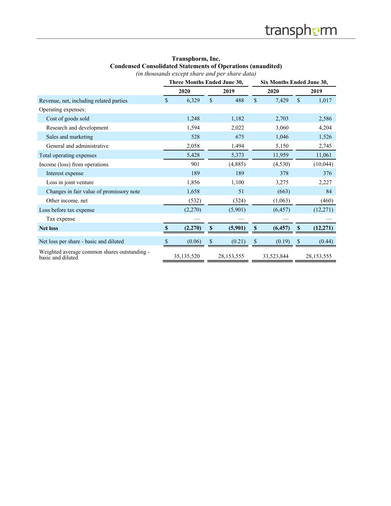| Transphorm, Inc.                                                   |  |  |  |  |  |  |
|--------------------------------------------------------------------|--|--|--|--|--|--|
| <b>Condensed Consolidated Statements of Operations (unaudited)</b> |  |  |  |  |  |  |
| (in thousands except share and per share data)                     |  |  |  |  |  |  |

|                                                                   | Three Months Ended June 30, |              | Six Months Ended June 30, |              |            |    |            |
|-------------------------------------------------------------------|-----------------------------|--------------|---------------------------|--------------|------------|----|------------|
|                                                                   | 2020                        |              | 2019                      |              | 2020       |    | 2019       |
| Revenue, net, including related parties                           | \$<br>6,329                 | $\mathbb{S}$ | 488                       | $\mathbb{S}$ | 7,429      | \$ | 1,017      |
| Operating expenses:                                               |                             |              |                           |              |            |    |            |
| Cost of goods sold                                                | 1,248                       |              | 1,182                     |              | 2,703      |    | 2,586      |
| Research and development                                          | 1,594                       |              | 2,022                     |              | 3,060      |    | 4,204      |
| Sales and marketing                                               | 528                         |              | 675                       |              | 1,046      |    | 1,526      |
| General and administrative                                        | 2,058                       |              | 1,494                     |              | 5,150      |    | 2,745      |
| Total operating expenses                                          | 5,428                       |              | 5,373                     |              | 11,959     |    | 11,061     |
| Income (loss) from operations                                     | 901                         |              | (4,885)                   |              | (4,530)    |    | (10,044)   |
| Interest expense                                                  | 189                         |              | 189                       |              | 378        |    | 376        |
| Loss in joint venture                                             | 1,856                       |              | 1,100                     |              | 3,275      |    | 2,227      |
| Changes in fair value of promissory note                          | 1,658                       |              | 51                        |              | (663)      |    | 84         |
| Other income, net                                                 | (532)                       |              | (324)                     |              | (1,063)    |    | (460)      |
| Loss before tax expense                                           | (2,270)                     |              | (5,901)                   |              | (6, 457)   |    | (12,271)   |
| Tax expense                                                       |                             |              |                           |              |            |    |            |
| <b>Net loss</b>                                                   | \$<br>(2,270)               | \$           | (5,901)                   | \$           | (6, 457)   | \$ | (12, 271)  |
| Net loss per share - basic and diluted                            | \$<br>(0.06)                | \$           | (0.21)                    | \$           | (0.19)     | \$ | (0.44)     |
| Weighted average common shares outstanding -<br>basic and diluted | 35, 135, 520                |              | 28,153,555                |              | 33,523,844 |    | 28,153,555 |